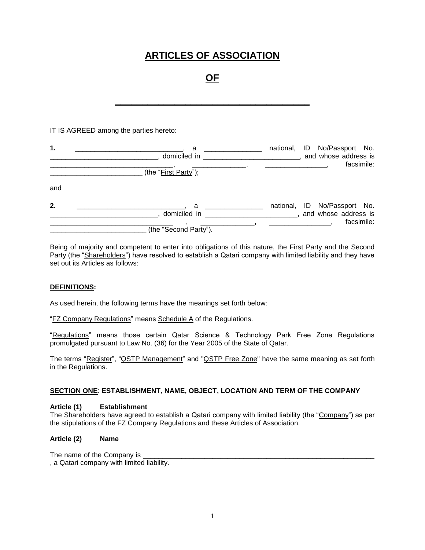# **ARTICLES OF ASSOCIATION**

# **OF**

**\_\_\_\_\_\_\_\_\_\_\_\_\_\_\_\_\_\_\_\_\_\_\_\_\_\_\_\_\_\_\_\_\_\_\_\_**

IT IS AGREED among the parties hereto:

| 1.  | a<br>domiciled in<br>(the "First Party"); | national, ID No/Passport No.<br>and whose address is<br>facsimile:   |
|-----|-------------------------------------------|----------------------------------------------------------------------|
| and |                                           |                                                                      |
| 2.  | a<br>domiciled in                         | national, ID No/Passport No.<br>, and whose address is<br>facsimile: |
|     | (the "Second Party").                     |                                                                      |

Being of majority and competent to enter into obligations of this nature, the First Party and the Second Party (the "Shareholders") have resolved to establish a Qatari company with limited liability and they have set out its Articles as follows:

## **DEFINITIONS:**

As used herein, the following terms have the meanings set forth below:

"FZ Company Regulations" means Schedule A of the Regulations.

"Regulations" means those certain Qatar Science & Technology Park Free Zone Regulations promulgated pursuant to Law No. (36) for the Year 2005 of the State of Qatar.

The terms "Register", "QSTP Management" and "QSTP Free Zone" have the same meaning as set forth in the Regulations.

## **SECTION ONE**: **ESTABLISHMENT, NAME, OBJECT, LOCATION AND TERM OF THE COMPANY**

#### **Article (1) Establishment**

The Shareholders have agreed to establish a Qatari company with limited liability (the "Company") as per the stipulations of the FZ Company Regulations and these Articles of Association.

## **Article (2) Name**

The name of the Company is

, a Qatari company with limited liability.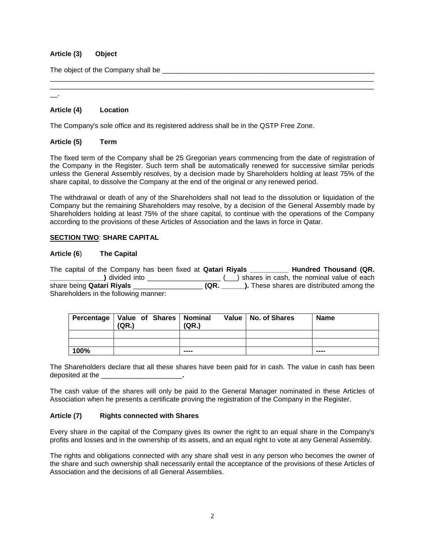# **Article (3) Object**

The object of the Company shall be

\_\_.

## **Article (4) Location**

The Company's sole office and its registered address shall be in the QSTP Free Zone.

## **Article (5) Term**

The fixed term of the Company shall be 25 Gregorian years commencing from the date of registration of the Company in the Register. Such term shall be automatically renewed for successive similar periods unless the General Assembly resolves, by a decision made by Shareholders holding at least 75% of the share capital, to dissolve the Company at the end of the original or any renewed period.

\_\_\_\_\_\_\_\_\_\_\_\_\_\_\_\_\_\_\_\_\_\_\_\_\_\_\_\_\_\_\_\_\_\_\_\_\_\_\_\_\_\_\_\_\_\_\_\_\_\_\_\_\_\_\_\_\_\_\_\_\_\_\_\_\_\_\_\_\_\_\_\_\_\_\_\_\_\_\_\_\_\_\_\_ \_\_\_\_\_\_\_\_\_\_\_\_\_\_\_\_\_\_\_\_\_\_\_\_\_\_\_\_\_\_\_\_\_\_\_\_\_\_\_\_\_\_\_\_\_\_\_\_\_\_\_\_\_\_\_\_\_\_\_\_\_\_\_\_\_\_\_\_\_\_\_\_\_\_\_\_\_\_\_\_\_\_\_\_

The withdrawal or death of any of the Shareholders shall not lead to the dissolution or liquidation of the Company but the remaining Shareholders may resolve, by a decision of the General Assembly made by Shareholders holding at least 75% of the share capital, to continue with the operations of the Company according to the provisions of these Articles of Association and the laws in force in Qatar.

## **SECTION TWO**: **SHARE CAPITAL**

## **Article (6**) **The Capital**

The capital of the Company has been fixed at **Qatari Riyals Hundred Thousand (QR. \_\_\_\_\_\_\_\_\_\_\_\_\_\_)** divided into \_\_\_\_\_\_\_\_\_\_\_\_\_\_\_\_\_\_\_ (\_\_\_) shares in cash, the nominal value of each share being **Qatari Riyals** \_\_\_\_\_\_\_\_\_\_\_\_\_\_\_\_\_\_ **(QR. \_\_\_\_\_\_).** These shares are distributed among the Shareholders in the following manner:

| Percentage   Value of Shares   Nominal | (QR.) | (QR.) | Value   No. of Shares | <b>Name</b> |
|----------------------------------------|-------|-------|-----------------------|-------------|
|                                        |       |       |                       |             |
|                                        |       |       |                       |             |
| 100%                                   |       | ----  |                       | ----        |

The Shareholders declare that all these shares have been paid for in cash. The value in cash has been deposited at the \_\_\_\_\_\_\_\_\_\_\_\_\_\_\_\_\_\_\_\_\_**.**

The cash value of the shares will only be paid to the General Manager nominated in these Articles of Association when he presents a certificate proving the registration of the Company in the Register.

## **Article (7) Rights connected with Shares**

Every share in the capital of the Company gives its owner the right to an equal share in the Company's profits and losses and in the ownership of its assets, and an equal right to vote at any General Assembly.

The rights and obligations connected with any share shall vest in any person who becomes the owner of the share and such ownership shall necessarily entail the acceptance of the provisions of these Articles of Association and the decisions of all General Assemblies.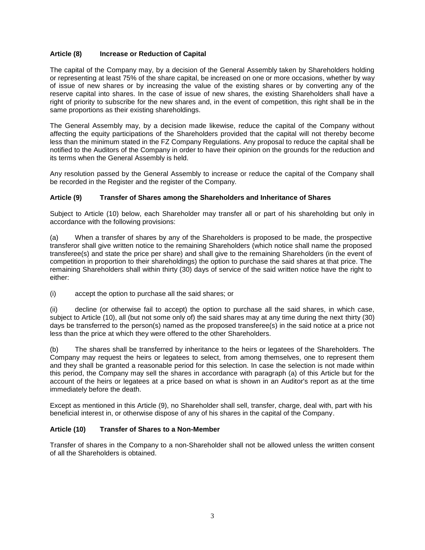# **Article (8) Increase or Reduction of Capital**

The capital of the Company may, by a decision of the General Assembly taken by Shareholders holding or representing at least 75% of the share capital, be increased on one or more occasions, whether by way of issue of new shares or by increasing the value of the existing shares or by converting any of the reserve capital into shares. In the case of issue of new shares, the existing Shareholders shall have a right of priority to subscribe for the new shares and, in the event of competition, this right shall be in the same proportions as their existing shareholdings.

The General Assembly may, by a decision made likewise, reduce the capital of the Company without affecting the equity participations of the Shareholders provided that the capital will not thereby become less than the minimum stated in the FZ Company Regulations. Any proposal to reduce the capital shall be notified to the Auditors of the Company in order to have their opinion on the grounds for the reduction and its terms when the General Assembly is held.

Any resolution passed by the General Assembly to increase or reduce the capital of the Company shall be recorded in the Register and the register of the Company.

## **Article (9) Transfer of Shares among the Shareholders and Inheritance of Shares**

Subject to Article (10) below, each Shareholder may transfer all or part of his shareholding but only in accordance with the following provisions:

(a) When a transfer of shares by any of the Shareholders is proposed to be made, the prospective transferor shall give written notice to the remaining Shareholders (which notice shall name the proposed transferee(s) and state the price per share) and shall give to the remaining Shareholders (in the event of competition in proportion to their shareholdings) the option to purchase the said shares at that price. The remaining Shareholders shall within thirty (30) days of service of the said written notice have the right to either:

(i) accept the option to purchase all the said shares; or

(ii) decline (or otherwise fail to accept) the option to purchase all the said shares, in which case, subject to Article (10), all (but not some only of) the said shares may at any time during the next thirty (30) days be transferred to the person(s) named as the proposed transferee(s) in the said notice at a price not less than the price at which they were offered to the other Shareholders.

(b) The shares shall be transferred by inheritance to the heirs or legatees of the Shareholders. The Company may request the heirs or legatees to select, from among themselves, one to represent them and they shall be granted a reasonable period for this selection. In case the selection is not made within this period, the Company may sell the shares in accordance with paragraph (a) of this Article but for the account of the heirs or legatees at a price based on what is shown in an Auditor's report as at the time immediately before the death.

Except as mentioned in this Article (9), no Shareholder shall sell, transfer, charge, deal with, part with his beneficial interest in, or otherwise dispose of any of his shares in the capital of the Company.

## **Article (10) Transfer of Shares to a Non-Member**

Transfer of shares in the Company to a non-Shareholder shall not be allowed unless the written consent of all the Shareholders is obtained.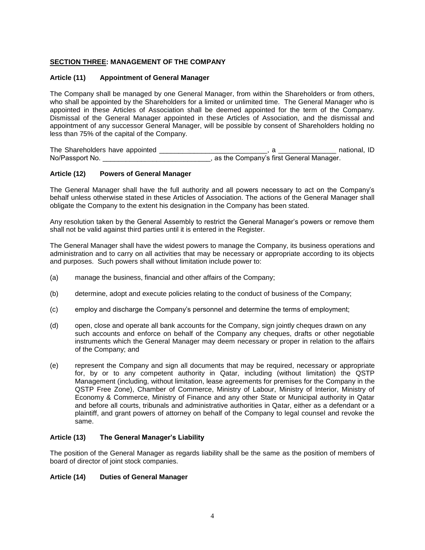## **SECTION THREE: MANAGEMENT OF THE COMPANY**

## **Article (11) Appointment of General Manager**

The Company shall be managed by one General Manager, from within the Shareholders or from others, who shall be appointed by the Shareholders for a limited or unlimited time. The General Manager who is appointed in these Articles of Association shall be deemed appointed for the term of the Company. Dismissal of the General Manager appointed in these Articles of Association, and the dismissal and appointment of any successor General Manager, will be possible by consent of Shareholders holding no less than 75% of the capital of the Company.

The Shareholders have appointed \_\_\_\_\_\_\_\_\_\_\_\_\_\_\_\_\_\_\_\_\_\_\_\_\_\_\_\_, a \_\_\_\_\_\_\_\_\_\_\_\_\_\_\_ national, ID No/Passport No. \_\_\_\_\_\_\_\_\_\_\_\_\_\_\_\_\_\_\_\_\_\_\_\_\_\_\_\_, as the Company's first General Manager.

## **Article (12) Powers of General Manager**

The General Manager shall have the full authority and all powers necessary to act on the Company's behalf unless otherwise stated in these Articles of Association. The actions of the General Manager shall obligate the Company to the extent his designation in the Company has been stated.

Any resolution taken by the General Assembly to restrict the General Manager's powers or remove them shall not be valid against third parties until it is entered in the Register.

The General Manager shall have the widest powers to manage the Company, its business operations and administration and to carry on all activities that may be necessary or appropriate according to its objects and purposes. Such powers shall without limitation include power to:

- (a) manage the business, financial and other affairs of the Company;
- (b) determine, adopt and execute policies relating to the conduct of business of the Company;
- (c) employ and discharge the Company's personnel and determine the terms of employment;
- (d) open, close and operate all bank accounts for the Company, sign jointly cheques drawn on any such accounts and enforce on behalf of the Company any cheques, drafts or other negotiable instruments which the General Manager may deem necessary or proper in relation to the affairs of the Company; and
- (e) represent the Company and sign all documents that may be required, necessary or appropriate for, by or to any competent authority in Qatar, including (without limitation) the QSTP Management (including, without limitation, lease agreements for premises for the Company in the QSTP Free Zone), Chamber of Commerce, Ministry of Labour, Ministry of Interior, Ministry of Economy & Commerce, Ministry of Finance and any other State or Municipal authority in Qatar and before all courts, tribunals and administrative authorities in Qatar, either as a defendant or a plaintiff, and grant powers of attorney on behalf of the Company to legal counsel and revoke the same.

## **Article (13) The General Manager's Liability**

The position of the General Manager as regards liability shall be the same as the position of members of board of director of joint stock companies.

## **Article (14) Duties of General Manager**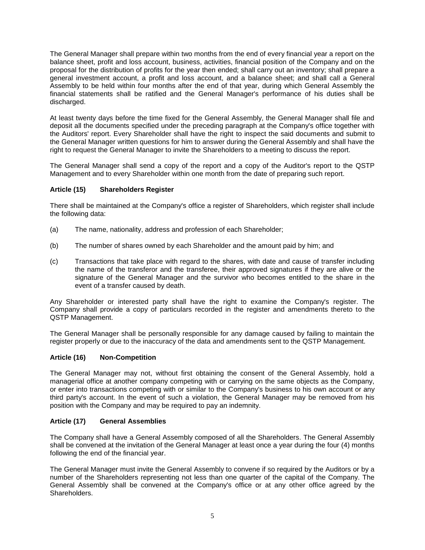The General Manager shall prepare within two months from the end of every financial year a report on the balance sheet, profit and loss account, business, activities, financial position of the Company and on the proposal for the distribution of profits for the year then ended; shall carry out an inventory; shall prepare a general investment account, a profit and loss account, and a balance sheet; and shall call a General Assembly to be held within four months after the end of that year, during which General Assembly the financial statements shall be ratified and the General Manager's performance of his duties shall be discharged.

At least twenty days before the time fixed for the General Assembly, the General Manager shall file and deposit all the documents specified under the preceding paragraph at the Company's office together with the Auditors' report. Every Shareholder shall have the right to inspect the said documents and submit to the General Manager written questions for him to answer during the General Assembly and shall have the right to request the General Manager to invite the Shareholders to a meeting to discuss the report.

The General Manager shall send a copy of the report and a copy of the Auditor's report to the QSTP Management and to every Shareholder within one month from the date of preparing such report.

# **Article (15) Shareholders Register**

There shall be maintained at the Company's office a register of Shareholders, which register shall include the following data:

- (a) The name, nationality, address and profession of each Shareholder;
- (b) The number of shares owned by each Shareholder and the amount paid by him; and
- (c) Transactions that take place with regard to the shares, with date and cause of transfer including the name of the transferor and the transferee, their approved signatures if they are alive or the signature of the General Manager and the survivor who becomes entitled to the share in the event of a transfer caused by death.

Any Shareholder or interested party shall have the right to examine the Company's register. The Company shall provide a copy of particulars recorded in the register and amendments thereto to the QSTP Management.

The General Manager shall be personally responsible for any damage caused by failing to maintain the register properly or due to the inaccuracy of the data and amendments sent to the QSTP Management.

## **Article (16) Non-Competition**

The General Manager may not, without first obtaining the consent of the General Assembly, hold a managerial office at another company competing with or carrying on the same objects as the Company, or enter into transactions competing with or similar to the Company's business to his own account or any third party's account. In the event of such a violation, the General Manager may be removed from his position with the Company and may be required to pay an indemnity.

## **Article (17) General Assemblies**

The Company shall have a General Assembly composed of all the Shareholders. The General Assembly shall be convened at the invitation of the General Manager at least once a year during the four (4) months following the end of the financial year.

The General Manager must invite the General Assembly to convene if so required by the Auditors or by a number of the Shareholders representing not less than one quarter of the capital of the Company. The General Assembly shall be convened at the Company's office or at any other office agreed by the Shareholders.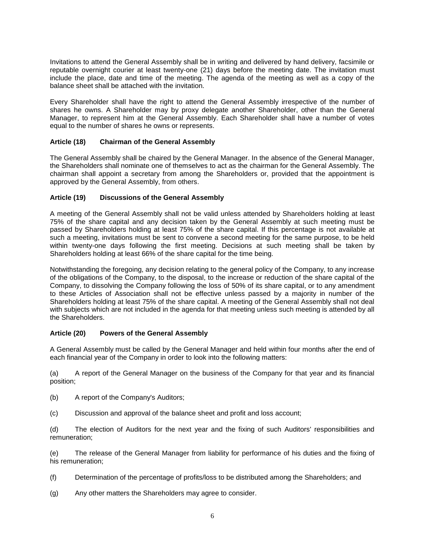Invitations to attend the General Assembly shall be in writing and delivered by hand delivery, facsimile or reputable overnight courier at least twenty-one (21) days before the meeting date. The invitation must include the place, date and time of the meeting. The agenda of the meeting as well as a copy of the balance sheet shall be attached with the invitation.

Every Shareholder shall have the right to attend the General Assembly irrespective of the number of shares he owns. A Shareholder may by proxy delegate another Shareholder, other than the General Manager, to represent him at the General Assembly. Each Shareholder shall have a number of votes equal to the number of shares he owns or represents.

## **Article (18) Chairman of the General Assembly**

The General Assembly shall be chaired by the General Manager. In the absence of the General Manager, the Shareholders shall nominate one of themselves to act as the chairman for the General Assembly. The chairman shall appoint a secretary from among the Shareholders or, provided that the appointment is approved by the General Assembly, from others.

## **Article (19) Discussions of the General Assembly**

A meeting of the General Assembly shall not be valid unless attended by Shareholders holding at least 75% of the share capital and any decision taken by the General Assembly at such meeting must be passed by Shareholders holding at least 75% of the share capital. If this percentage is not available at such a meeting, invitations must be sent to convene a second meeting for the same purpose, to be held within twenty-one days following the first meeting. Decisions at such meeting shall be taken by Shareholders holding at least 66% of the share capital for the time being.

Notwithstanding the foregoing, any decision relating to the general policy of the Company, to any increase of the obligations of the Company, to the disposal, to the increase or reduction of the share capital of the Company, to dissolving the Company following the loss of 50% of its share capital, or to any amendment to these Articles of Association shall not be effective unless passed by a majority in number of the Shareholders holding at least 75% of the share capital. A meeting of the General Assembly shall not deal with subjects which are not included in the agenda for that meeting unless such meeting is attended by all the Shareholders.

## **Article (20) Powers of the General Assembly**

A General Assembly must be called by the General Manager and held within four months after the end of each financial year of the Company in order to look into the following matters:

(a) A report of the General Manager on the business of the Company for that year and its financial position;

- (b) A report of the Company's Auditors;
- (c) Discussion and approval of the balance sheet and profit and loss account;

(d) The election of Auditors for the next year and the fixing of such Auditors' responsibilities and remuneration;

(e) The release of the General Manager from liability for performance of his duties and the fixing of his remuneration;

- (f) Determination of the percentage of profits/loss to be distributed among the Shareholders; and
- (g) Any other matters the Shareholders may agree to consider.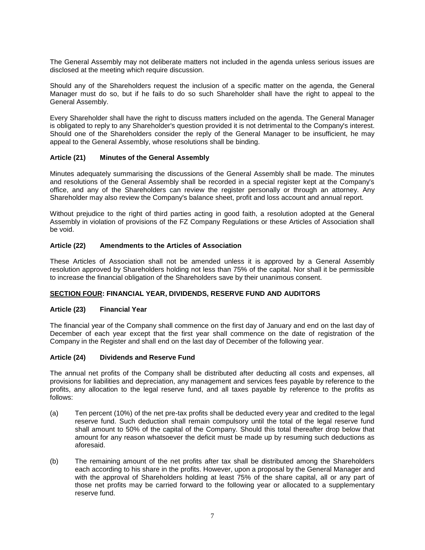The General Assembly may not deliberate matters not included in the agenda unless serious issues are disclosed at the meeting which require discussion.

Should any of the Shareholders request the inclusion of a specific matter on the agenda, the General Manager must do so, but if he fails to do so such Shareholder shall have the right to appeal to the General Assembly.

Every Shareholder shall have the right to discuss matters included on the agenda. The General Manager is obligated to reply to any Shareholder's question provided it is not detrimental to the Company's interest. Should one of the Shareholders consider the reply of the General Manager to be insufficient, he may appeal to the General Assembly, whose resolutions shall be binding.

## **Article (21) Minutes of the General Assembly**

Minutes adequately summarising the discussions of the General Assembly shall be made. The minutes and resolutions of the General Assembly shall be recorded in a special register kept at the Company's office, and any of the Shareholders can review the register personally or through an attorney. Any Shareholder may also review the Company's balance sheet, profit and loss account and annual report.

Without prejudice to the right of third parties acting in good faith, a resolution adopted at the General Assembly in violation of provisions of the FZ Company Regulations or these Articles of Association shall be void.

## **Article (22) Amendments to the Articles of Association**

These Articles of Association shall not be amended unless it is approved by a General Assembly resolution approved by Shareholders holding not less than 75% of the capital. Nor shall it be permissible to increase the financial obligation of the Shareholders save by their unanimous consent.

## **SECTION FOUR: FINANCIAL YEAR, DIVIDENDS, RESERVE FUND AND AUDITORS**

## **Article (23) Financial Year**

The financial year of the Company shall commence on the first day of January and end on the last day of December of each year except that the first year shall commence on the date of registration of the Company in the Register and shall end on the last day of December of the following year.

## **Article (24) Dividends and Reserve Fund**

The annual net profits of the Company shall be distributed after deducting all costs and expenses, all provisions for liabilities and depreciation, any management and services fees payable by reference to the profits, any allocation to the legal reserve fund, and all taxes payable by reference to the profits as follows:

- (a) Ten percent (10%) of the net pre-tax profits shall be deducted every year and credited to the legal reserve fund. Such deduction shall remain compulsory until the total of the legal reserve fund shall amount to 50% of the capital of the Company. Should this total thereafter drop below that amount for any reason whatsoever the deficit must be made up by resuming such deductions as aforesaid.
- (b) The remaining amount of the net profits after tax shall be distributed among the Shareholders each according to his share in the profits. However, upon a proposal by the General Manager and with the approval of Shareholders holding at least 75% of the share capital, all or any part of those net profits may be carried forward to the following year or allocated to a supplementary reserve fund.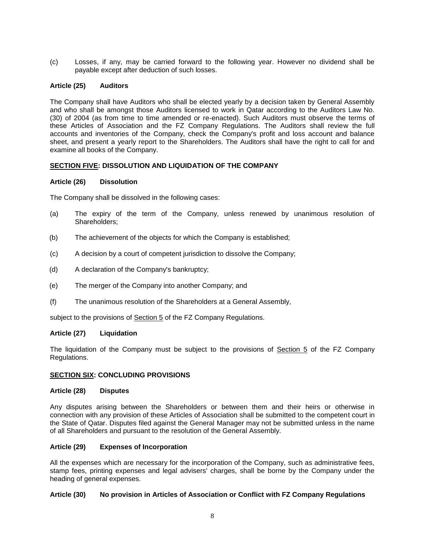(c) Losses, if any, may be carried forward to the following year. However no dividend shall be payable except after deduction of such losses.

## **Article (25) Auditors**

The Company shall have Auditors who shall be elected yearly by a decision taken by General Assembly and who shall be amongst those Auditors licensed to work in Qatar according to the Auditors Law No. (30) of 2004 (as from time to time amended or re-enacted). Such Auditors must observe the terms of these Articles of Association and the FZ Company Regulations. The Auditors shall review the full accounts and inventories of the Company, check the Company's profit and loss account and balance sheet, and present a yearly report to the Shareholders. The Auditors shall have the right to call for and examine all books of the Company.

## **SECTION FIVE: DISSOLUTION AND LIQUIDATION OF THE COMPANY**

## **Article (26) Dissolution**

The Company shall be dissolved in the following cases:

- (a) The expiry of the term of the Company, unless renewed by unanimous resolution of Shareholders;
- (b) The achievement of the objects for which the Company is established;
- (c) A decision by a court of competent jurisdiction to dissolve the Company;
- (d) A declaration of the Company's bankruptcy;
- (e) The merger of the Company into another Company; and
- (f) The unanimous resolution of the Shareholders at a General Assembly,

subject to the provisions of Section 5 of the FZ Company Regulations.

## **Article (27) Liquidation**

The liquidation of the Company must be subject to the provisions of Section 5 of the FZ Company Regulations.

## **SECTION SIX: CONCLUDING PROVISIONS**

#### **Article (28) Disputes**

Any disputes arising between the Shareholders or between them and their heirs or otherwise in connection with any provision of these Articles of Association shall be submitted to the competent court in the State of Qatar. Disputes filed against the General Manager may not be submitted unless in the name of all Shareholders and pursuant to the resolution of the General Assembly.

## **Article (29) Expenses of Incorporation**

All the expenses which are necessary for the incorporation of the Company, such as administrative fees, stamp fees, printing expenses and legal advisers' charges, shall be borne by the Company under the heading of general expenses.

## **Article (30) No provision in Articles of Association or Conflict with FZ Company Regulations**